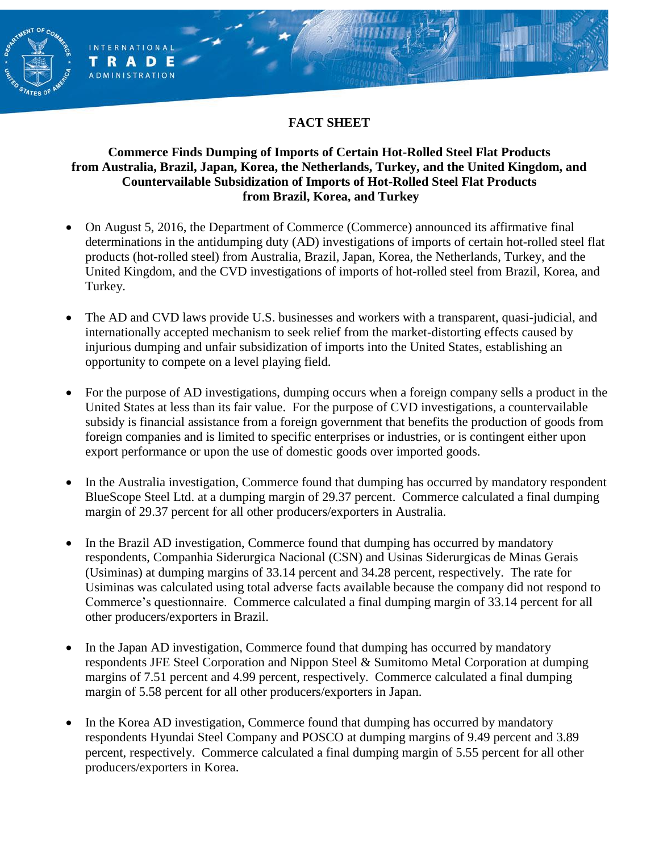### **FACT SHEET**

**ENT OF** 

**INTERNATIONAL** TRADE **ADMINISTRATION** 

#### **Commerce Finds Dumping of Imports of Certain Hot-Rolled Steel Flat Products from Australia, Brazil, Japan, Korea, the Netherlands, Turkey, and the United Kingdom, and Countervailable Subsidization of Imports of Hot-Rolled Steel Flat Products from Brazil, Korea, and Turkey**

- On August 5, 2016, the Department of Commerce (Commerce) announced its affirmative final determinations in the antidumping duty (AD) investigations of imports of certain hot-rolled steel flat products (hot-rolled steel) from Australia, Brazil, Japan, Korea, the Netherlands, Turkey, and the United Kingdom, and the CVD investigations of imports of hot-rolled steel from Brazil, Korea, and Turkey.
- The AD and CVD laws provide U.S. businesses and workers with a transparent, quasi-judicial, and internationally accepted mechanism to seek relief from the market-distorting effects caused by injurious dumping and unfair subsidization of imports into the United States, establishing an opportunity to compete on a level playing field.
- For the purpose of AD investigations, dumping occurs when a foreign company sells a product in the United States at less than its fair value. For the purpose of CVD investigations, a countervailable subsidy is financial assistance from a foreign government that benefits the production of goods from foreign companies and is limited to specific enterprises or industries, or is contingent either upon export performance or upon the use of domestic goods over imported goods.
- In the Australia investigation, Commerce found that dumping has occurred by mandatory respondent BlueScope Steel Ltd. at a dumping margin of 29.37 percent. Commerce calculated a final dumping margin of 29.37 percent for all other producers/exporters in Australia.
- In the Brazil AD investigation, Commerce found that dumping has occurred by mandatory respondents, Companhia Siderurgica Nacional (CSN) and Usinas Siderurgicas de Minas Gerais (Usiminas) at dumping margins of 33.14 percent and 34.28 percent, respectively. The rate for Usiminas was calculated using total adverse facts available because the company did not respond to Commerce's questionnaire. Commerce calculated a final dumping margin of 33.14 percent for all other producers/exporters in Brazil.
- In the Japan AD investigation, Commerce found that dumping has occurred by mandatory respondents JFE Steel Corporation and Nippon Steel & Sumitomo Metal Corporation at dumping margins of 7.51 percent and 4.99 percent, respectively. Commerce calculated a final dumping margin of 5.58 percent for all other producers/exporters in Japan.
- In the Korea AD investigation, Commerce found that dumping has occurred by mandatory respondents Hyundai Steel Company and POSCO at dumping margins of 9.49 percent and 3.89 percent, respectively. Commerce calculated a final dumping margin of 5.55 percent for all other producers/exporters in Korea.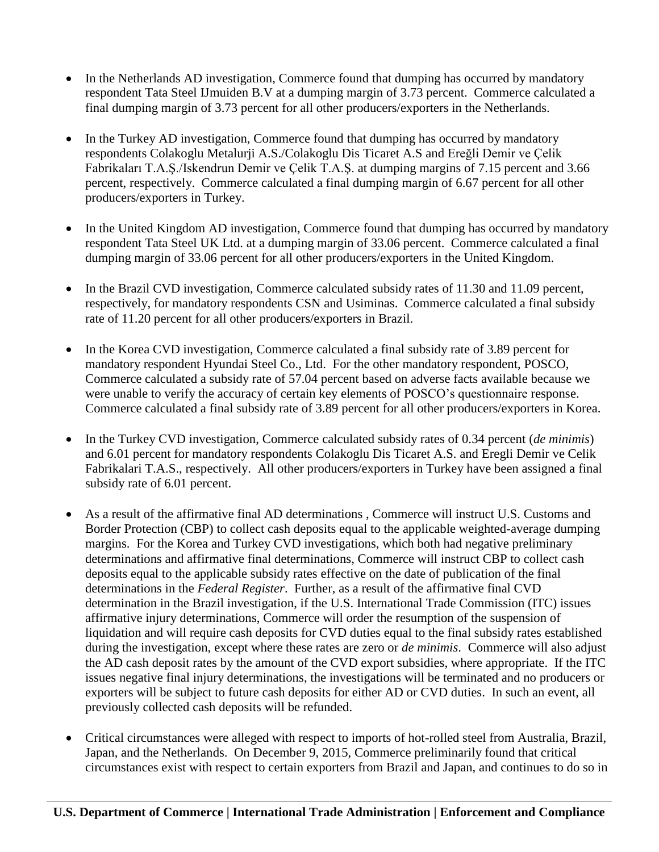- In the Netherlands AD investigation, Commerce found that dumping has occurred by mandatory respondent Tata Steel IJmuiden B.V at a dumping margin of 3.73 percent. Commerce calculated a final dumping margin of 3.73 percent for all other producers/exporters in the Netherlands.
- In the Turkey AD investigation, Commerce found that dumping has occurred by mandatory respondents Colakoglu Metalurji A.S./Colakoglu Dis Ticaret A.S and Ereğli Demir ve Çelik Fabrikaları T.A.Ş./Iskendrun Demir ve Çelik T.A.Ş. at dumping margins of 7.15 percent and 3.66 percent, respectively. Commerce calculated a final dumping margin of 6.67 percent for all other producers/exporters in Turkey.
- In the United Kingdom AD investigation, Commerce found that dumping has occurred by mandatory respondent Tata Steel UK Ltd. at a dumping margin of 33.06 percent. Commerce calculated a final dumping margin of 33.06 percent for all other producers/exporters in the United Kingdom.
- In the Brazil CVD investigation, Commerce calculated subsidy rates of 11.30 and 11.09 percent, respectively, for mandatory respondents CSN and Usiminas. Commerce calculated a final subsidy rate of 11.20 percent for all other producers/exporters in Brazil.
- In the Korea CVD investigation, Commerce calculated a final subsidy rate of 3.89 percent for mandatory respondent Hyundai Steel Co., Ltd. For the other mandatory respondent, POSCO, Commerce calculated a subsidy rate of 57.04 percent based on adverse facts available because we were unable to verify the accuracy of certain key elements of POSCO's questionnaire response. Commerce calculated a final subsidy rate of 3.89 percent for all other producers/exporters in Korea.
- In the Turkey CVD investigation, Commerce calculated subsidy rates of 0.34 percent (*de minimis*) and 6.01 percent for mandatory respondents Colakoglu Dis Ticaret A.S. and Eregli Demir ve Celik Fabrikalari T.A.S., respectively. All other producers/exporters in Turkey have been assigned a final subsidy rate of 6.01 percent.
- As a result of the affirmative final AD determinations , Commerce will instruct U.S. Customs and Border Protection (CBP) to collect cash deposits equal to the applicable weighted-average dumping margins. For the Korea and Turkey CVD investigations, which both had negative preliminary determinations and affirmative final determinations, Commerce will instruct CBP to collect cash deposits equal to the applicable subsidy rates effective on the date of publication of the final determinations in the *Federal Register*. Further, as a result of the affirmative final CVD determination in the Brazil investigation, if the U.S. International Trade Commission (ITC) issues affirmative injury determinations, Commerce will order the resumption of the suspension of liquidation and will require cash deposits for CVD duties equal to the final subsidy rates established during the investigation, except where these rates are zero or *de minimis*. Commerce will also adjust the AD cash deposit rates by the amount of the CVD export subsidies, where appropriate. If the ITC issues negative final injury determinations, the investigations will be terminated and no producers or exporters will be subject to future cash deposits for either AD or CVD duties. In such an event, all previously collected cash deposits will be refunded.
- Critical circumstances were alleged with respect to imports of hot-rolled steel from Australia, Brazil, Japan, and the Netherlands. On December 9, 2015, Commerce preliminarily found that critical circumstances exist with respect to certain exporters from Brazil and Japan, and continues to do so in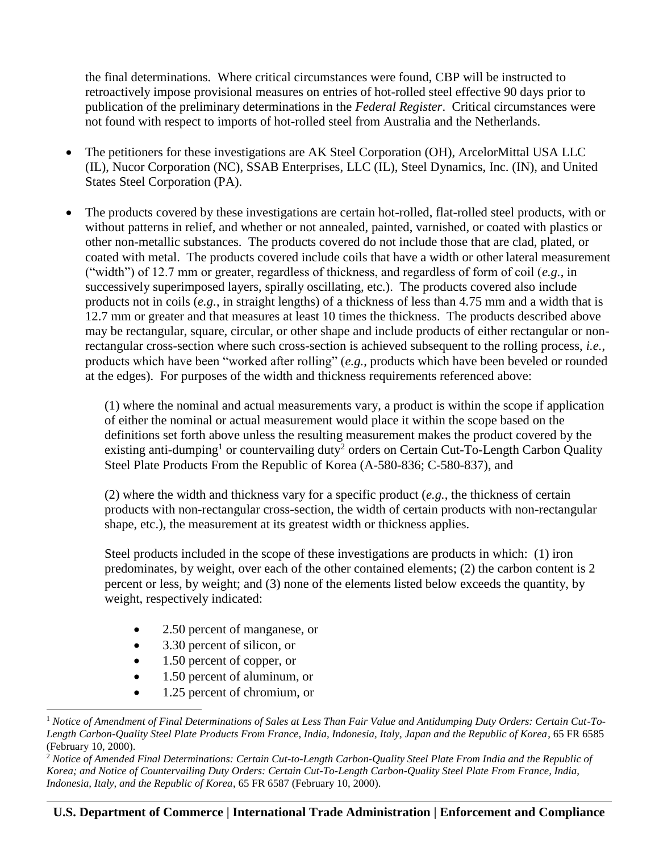the final determinations. Where critical circumstances were found, CBP will be instructed to retroactively impose provisional measures on entries of hot-rolled steel effective 90 days prior to publication of the preliminary determinations in the *Federal Register*. Critical circumstances were not found with respect to imports of hot-rolled steel from Australia and the Netherlands.

- The petitioners for these investigations are AK Steel Corporation (OH), ArcelorMittal USA LLC (IL), Nucor Corporation (NC), SSAB Enterprises, LLC (IL), Steel Dynamics, Inc. (IN), and United States Steel Corporation (PA).
- The products covered by these investigations are certain hot-rolled, flat-rolled steel products, with or without patterns in relief, and whether or not annealed, painted, varnished, or coated with plastics or other non-metallic substances. The products covered do not include those that are clad, plated, or coated with metal. The products covered include coils that have a width or other lateral measurement ("width") of 12.7 mm or greater, regardless of thickness, and regardless of form of coil (*e.g.*, in successively superimposed layers, spirally oscillating, etc.). The products covered also include products not in coils (*e.g.*, in straight lengths) of a thickness of less than 4.75 mm and a width that is 12.7 mm or greater and that measures at least 10 times the thickness. The products described above may be rectangular, square, circular, or other shape and include products of either rectangular or nonrectangular cross-section where such cross-section is achieved subsequent to the rolling process, *i.e.*, products which have been "worked after rolling" (*e.g.*, products which have been beveled or rounded at the edges). For purposes of the width and thickness requirements referenced above:

(1) where the nominal and actual measurements vary, a product is within the scope if application of either the nominal or actual measurement would place it within the scope based on the definitions set forth above unless the resulting measurement makes the product covered by the existing anti-dumping<sup>1</sup> or countervailing duty<sup>2</sup> orders on Certain Cut-To-Length Carbon Quality Steel Plate Products From the Republic of Korea (A-580-836; C-580-837), and

(2) where the width and thickness vary for a specific product (*e.g.*, the thickness of certain products with non-rectangular cross-section, the width of certain products with non-rectangular shape, etc.), the measurement at its greatest width or thickness applies.

Steel products included in the scope of these investigations are products in which: (1) iron predominates, by weight, over each of the other contained elements; (2) the carbon content is 2 percent or less, by weight; and (3) none of the elements listed below exceeds the quantity, by weight, respectively indicated:

- 2.50 percent of manganese, or
- 3.30 percent of silicon, or
- 1.50 percent of copper, or

 $\overline{a}$ 

- 1.50 percent of aluminum, or
- 1.25 percent of chromium, or

<sup>1</sup> *Notice of Amendment of Final Determinations of Sales at Less Than Fair Value and Antidumping Duty Orders: Certain Cut-To-Length Carbon-Quality Steel Plate Products From France, India, Indonesia, Italy, Japan and the Republic of Korea*, 65 FR 6585 (February 10, 2000).

<sup>2</sup> *Notice of Amended Final Determinations: Certain Cut-to-Length Carbon-Quality Steel Plate From India and the Republic of Korea; and Notice of Countervailing Duty Orders: Certain Cut-To-Length Carbon-Quality Steel Plate From France, India, Indonesia, Italy, and the Republic of Korea*, 65 FR 6587 (February 10, 2000).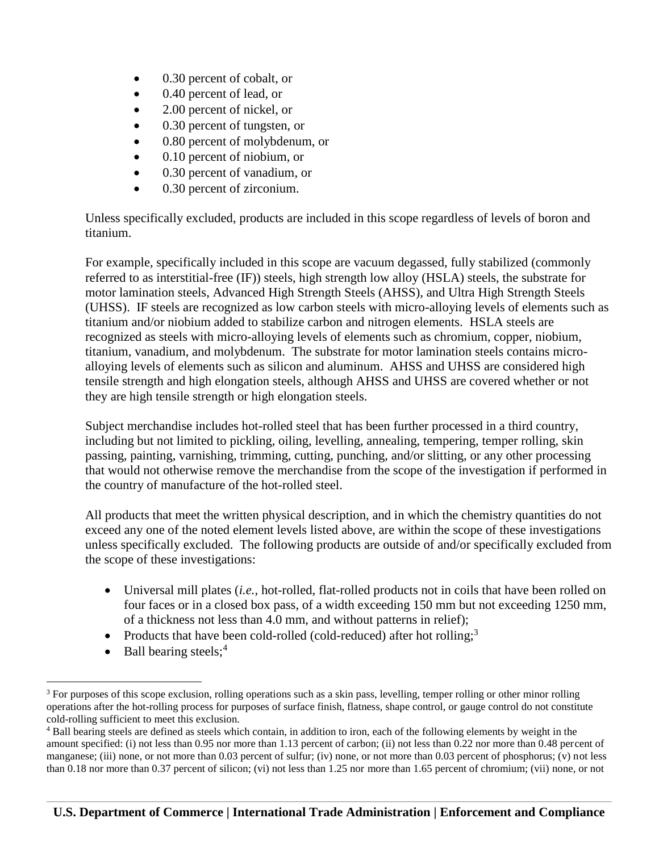- 0.30 percent of cobalt, or
- 0.40 percent of lead, or
- 2.00 percent of nickel, or
- 0.30 percent of tungsten, or
- 0.80 percent of molybdenum, or
- 0.10 percent of niobium, or
- 0.30 percent of vanadium, or
- 0.30 percent of zirconium.

Unless specifically excluded, products are included in this scope regardless of levels of boron and titanium.

For example, specifically included in this scope are vacuum degassed, fully stabilized (commonly referred to as interstitial-free (IF)) steels, high strength low alloy (HSLA) steels, the substrate for motor lamination steels, Advanced High Strength Steels (AHSS), and Ultra High Strength Steels (UHSS). IF steels are recognized as low carbon steels with micro-alloying levels of elements such as titanium and/or niobium added to stabilize carbon and nitrogen elements. HSLA steels are recognized as steels with micro-alloying levels of elements such as chromium, copper, niobium, titanium, vanadium, and molybdenum. The substrate for motor lamination steels contains microalloying levels of elements such as silicon and aluminum. AHSS and UHSS are considered high tensile strength and high elongation steels, although AHSS and UHSS are covered whether or not they are high tensile strength or high elongation steels.

Subject merchandise includes hot-rolled steel that has been further processed in a third country, including but not limited to pickling, oiling, levelling, annealing, tempering, temper rolling, skin passing, painting, varnishing, trimming, cutting, punching, and/or slitting, or any other processing that would not otherwise remove the merchandise from the scope of the investigation if performed in the country of manufacture of the hot-rolled steel.

All products that meet the written physical description, and in which the chemistry quantities do not exceed any one of the noted element levels listed above, are within the scope of these investigations unless specifically excluded. The following products are outside of and/or specifically excluded from the scope of these investigations:

- Universal mill plates (*i.e.*, hot-rolled, flat-rolled products not in coils that have been rolled on four faces or in a closed box pass, of a width exceeding 150 mm but not exceeding 1250 mm, of a thickness not less than 4.0 mm, and without patterns in relief);
- Products that have been cold-rolled (cold-reduced) after hot rolling;<sup>3</sup>
- $\bullet$  Ball bearing steels;<sup>4</sup>

 $\overline{a}$ <sup>3</sup> For purposes of this scope exclusion, rolling operations such as a skin pass, levelling, temper rolling or other minor rolling operations after the hot-rolling process for purposes of surface finish, flatness, shape control, or gauge control do not constitute cold-rolling sufficient to meet this exclusion.

<sup>4</sup> Ball bearing steels are defined as steels which contain, in addition to iron, each of the following elements by weight in the amount specified: (i) not less than 0.95 nor more than 1.13 percent of carbon; (ii) not less than 0.22 nor more than 0.48 percent of manganese; (iii) none, or not more than 0.03 percent of sulfur; (iv) none, or not more than 0.03 percent of phosphorus; (v) not less than 0.18 nor more than 0.37 percent of silicon; (vi) not less than 1.25 nor more than 1.65 percent of chromium; (vii) none, or not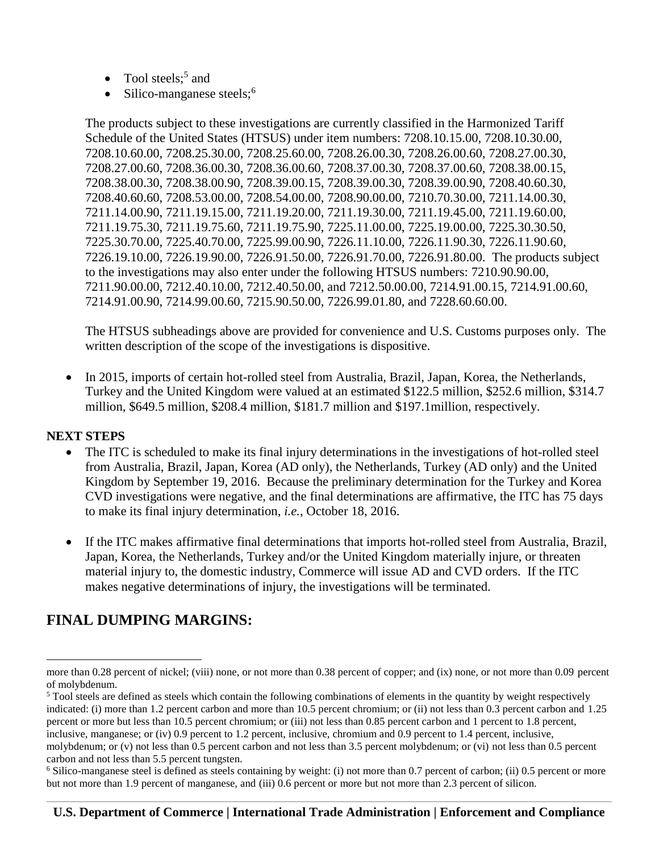- Tool steels;<sup>5</sup> and
- Silico-manganese steels;<sup>6</sup>

The products subject to these investigations are currently classified in the Harmonized Tariff Schedule of the United States (HTSUS) under item numbers: 7208.10.15.00, 7208.10.30.00, 7208.10.60.00, 7208.25.30.00, 7208.25.60.00, 7208.26.00.30, 7208.26.00.60, 7208.27.00.30, 7208.27.00.60, 7208.36.00.30, 7208.36.00.60, 7208.37.00.30, 7208.37.00.60, 7208.38.00.15, 7208.38.00.30, 7208.38.00.90, 7208.39.00.15, 7208.39.00.30, 7208.39.00.90, 7208.40.60.30, 7208.40.60.60, 7208.53.00.00, 7208.54.00.00, 7208.90.00.00, 7210.70.30.00, 7211.14.00.30, 7211.14.00.90, 7211.19.15.00, 7211.19.20.00, 7211.19.30.00, 7211.19.45.00, 7211.19.60.00, 7211.19.75.30, 7211.19.75.60, 7211.19.75.90, 7225.11.00.00, 7225.19.00.00, 7225.30.30.50, 7225.30.70.00, 7225.40.70.00, 7225.99.00.90, 7226.11.10.00, 7226.11.90.30, 7226.11.90.60, 7226.19.10.00, 7226.19.90.00, 7226.91.50.00, 7226.91.70.00, 7226.91.80.00. The products subject to the investigations may also enter under the following HTSUS numbers: 7210.90.90.00, 7211.90.00.00, 7212.40.10.00, 7212.40.50.00, and 7212.50.00.00, 7214.91.00.15, 7214.91.00.60, 7214.91.00.90, 7214.99.00.60, 7215.90.50.00, 7226.99.01.80, and 7228.60.60.00.

The HTSUS subheadings above are provided for convenience and U.S. Customs purposes only. The written description of the scope of the investigations is dispositive.

• In 2015, imports of certain hot-rolled steel from Australia, Brazil, Japan, Korea, the Netherlands, Turkey and the United Kingdom were valued at an estimated \$122.5 million, \$252.6 million, \$314.7 million, \$649.5 million, \$208.4 million, \$181.7 million and \$197.1million, respectively.

#### **NEXT STEPS**

 $\overline{a}$ 

- The ITC is scheduled to make its final injury determinations in the investigations of hot-rolled steel from Australia, Brazil, Japan, Korea (AD only), the Netherlands, Turkey (AD only) and the United Kingdom by September 19, 2016. Because the preliminary determination for the Turkey and Korea CVD investigations were negative, and the final determinations are affirmative, the ITC has 75 days to make its final injury determination, *i.e.*, October 18, 2016.
- If the ITC makes affirmative final determinations that imports hot-rolled steel from Australia, Brazil, Japan, Korea, the Netherlands, Turkey and/or the United Kingdom materially injure, or threaten material injury to, the domestic industry, Commerce will issue AD and CVD orders. If the ITC makes negative determinations of injury, the investigations will be terminated.

# **FINAL DUMPING MARGINS:**

more than 0.28 percent of nickel; (viii) none, or not more than 0.38 percent of copper; and (ix) none, or not more than 0.09 percent of molybdenum.

<sup>&</sup>lt;sup>5</sup> Tool steels are defined as steels which contain the following combinations of elements in the quantity by weight respectively indicated: (i) more than 1.2 percent carbon and more than 10.5 percent chromium; or (ii) not less than 0.3 percent carbon and 1.25 percent or more but less than 10.5 percent chromium; or (iii) not less than 0.85 percent carbon and 1 percent to 1.8 percent, inclusive, manganese; or (iv) 0.9 percent to 1.2 percent, inclusive, chromium and 0.9 percent to 1.4 percent, inclusive, molybdenum; or (v) not less than 0.5 percent carbon and not less than 3.5 percent molybdenum; or (vi) not less than 0.5 percent carbon and not less than 5.5 percent tungsten.

<sup>6</sup> Silico-manganese steel is defined as steels containing by weight: (i) not more than 0.7 percent of carbon; (ii) 0.5 percent or more but not more than 1.9 percent of manganese, and (iii) 0.6 percent or more but not more than 2.3 percent of silicon.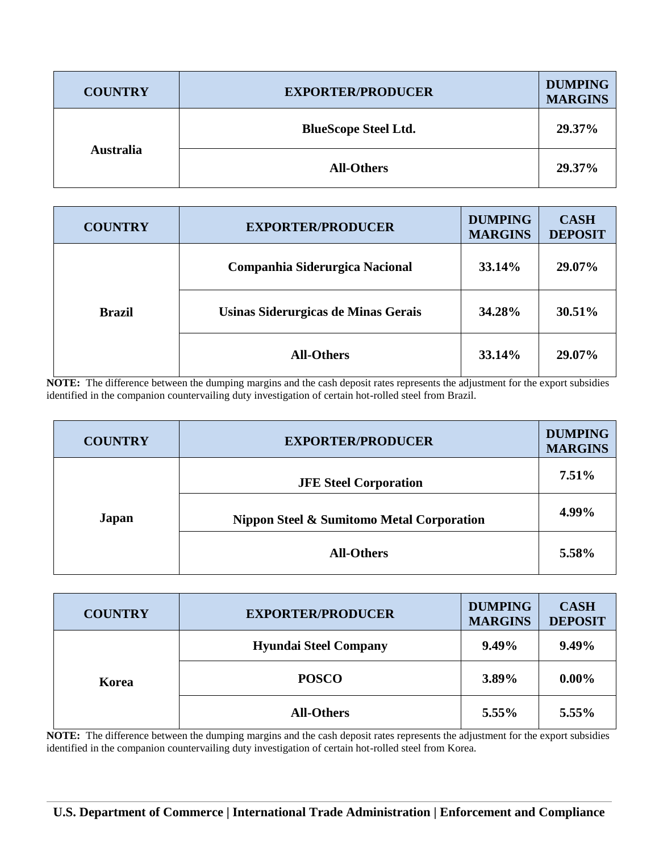| <b>COUNTRY</b>   | <b>EXPORTER/PRODUCER</b>    | <b>DUMPING</b><br><b>MARGINS</b> |
|------------------|-----------------------------|----------------------------------|
| <b>Australia</b> | <b>BlueScope Steel Ltd.</b> | 29.37%                           |
|                  | <b>All-Others</b>           | 29.37%                           |

|               | <b>COUNTRY</b>                      | <b>EXPORTER/PRODUCER</b>       | <b>DUMPING</b><br><b>MARGINS</b> | <b>CASH</b><br><b>DEPOSIT</b> |
|---------------|-------------------------------------|--------------------------------|----------------------------------|-------------------------------|
|               |                                     | Companhia Siderurgica Nacional | <b>33.14%</b>                    | 29.07%                        |
| <b>Brazil</b> | Usinas Siderurgicas de Minas Gerais | 34.28%                         | 30.51%                           |                               |
|               |                                     | <b>All-Others</b>              | 33.14%                           | 29.07%                        |

**NOTE:** The difference between the dumping margins and the cash deposit rates represents the adjustment for the export subsidies identified in the companion countervailing duty investigation of certain hot-rolled steel from Brazil.

| <b>COUNTRY</b> | <b>EXPORTER/PRODUCER</b>                             |          |
|----------------|------------------------------------------------------|----------|
|                | <b>JFE Steel Corporation</b>                         | $7.51\%$ |
| <b>Japan</b>   | <b>Nippon Steel &amp; Sumitomo Metal Corporation</b> | 4.99%    |
|                | <b>All-Others</b>                                    | 5.58%    |

| <b>COUNTRY</b> | <b>EXPORTER/PRODUCER</b>     | <b>DUMPING</b><br><b>MARGINS</b> | <b>CASH</b><br><b>DEPOSIT</b> |
|----------------|------------------------------|----------------------------------|-------------------------------|
| Korea          | <b>Hyundai Steel Company</b> | $9.49\%$                         | 9.49%                         |
|                | <b>POSCO</b>                 | 3.89%                            | $0.00\%$                      |
|                | <b>All-Others</b>            | 5.55%                            | 5.55%                         |

**NOTE:** The difference between the dumping margins and the cash deposit rates represents the adjustment for the export subsidies identified in the companion countervailing duty investigation of certain hot-rolled steel from Korea.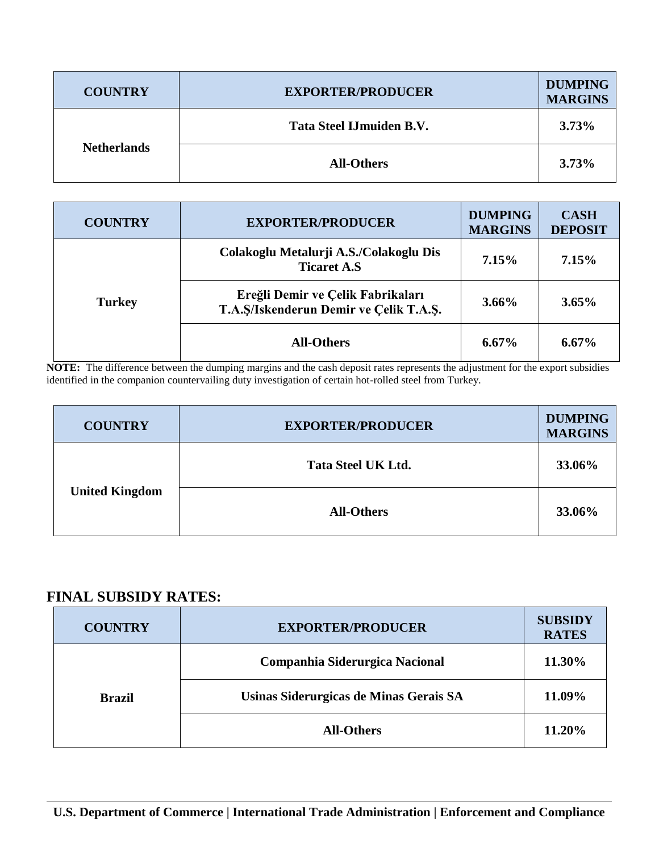| <b>COUNTRY</b>     | <b>EXPORTER/PRODUCER</b> | <b>DUMPING</b><br><b>MARGINS</b> |
|--------------------|--------------------------|----------------------------------|
| <b>Netherlands</b> | Tata Steel IJmuiden B.V. | 3.73%                            |
|                    | <b>All-Others</b>        | 3.73%                            |

| <b>COUNTRY</b> | <b>EXPORTER/PRODUCER</b>                                                    | <b>DUMPING</b><br><b>MARGINS</b> | <b>CASH</b><br><b>DEPOSIT</b> |
|----------------|-----------------------------------------------------------------------------|----------------------------------|-------------------------------|
|                | Colakoglu Metalurji A.S./Colakoglu Dis<br><b>Ticaret A.S</b>                | $7.15\%$                         | 7.15%                         |
| <b>Turkey</b>  | Ereğli Demir ve Çelik Fabrikaları<br>T.A.S/Iskenderun Demir ve Çelik T.A.S. | $3.66\%$                         | $3.65\%$                      |
|                | <b>All-Others</b>                                                           | $6.67\%$                         | $6.67\%$                      |

**NOTE:** The difference between the dumping margins and the cash deposit rates represents the adjustment for the export subsidies identified in the companion countervailing duty investigation of certain hot-rolled steel from Turkey.

| <b>COUNTRY</b>        | <b>EXPORTER/PRODUCER</b>  | <b>DUMPING</b><br><b>MARGINS</b> |
|-----------------------|---------------------------|----------------------------------|
| <b>United Kingdom</b> | <b>Tata Steel UK Ltd.</b> | 33.06%                           |
|                       | <b>All-Others</b>         | 33.06%                           |

## **FINAL SUBSIDY RATES:**

| <b>COUNTRY</b> | <b>EXPORTER/PRODUCER</b>               | <b>SUBSIDY</b><br><b>RATES</b> |
|----------------|----------------------------------------|--------------------------------|
|                | Companhia Siderurgica Nacional         | 11.30%                         |
| <b>Brazil</b>  | Usinas Siderurgicas de Minas Gerais SA | 11.09%                         |
|                | <b>All-Others</b>                      | 11.20%                         |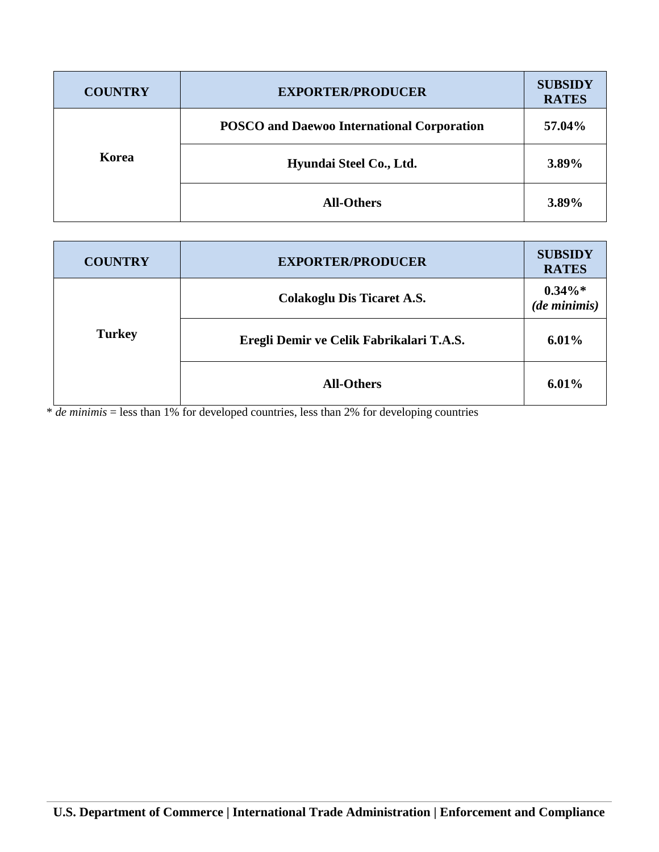| <b>COUNTRY</b> | <b>EXPORTER/PRODUCER</b>                          | <b>SUBSIDY</b><br><b>RATES</b> |
|----------------|---------------------------------------------------|--------------------------------|
|                | <b>POSCO</b> and Daewoo International Corporation | 57.04%                         |
| Korea          | Hyundai Steel Co., Ltd.                           | 3.89%                          |
|                | <b>All-Others</b>                                 | 3.89%                          |

| <b>COUNTRY</b> | <b>EXPORTER/PRODUCER</b>                 | <b>SUBSIDY</b><br><b>RATES</b> |
|----------------|------------------------------------------|--------------------------------|
|                | <b>Colakoglu Dis Ticaret A.S.</b>        | $0.34\%*$<br>$(de\,minimis)$   |
| <b>Turkey</b>  | Eregli Demir ve Celik Fabrikalari T.A.S. | $6.01\%$                       |
|                | <b>All-Others</b>                        | $6.01\%$                       |

\* *de minimis* = less than 1% for developed countries, less than 2% for developing countries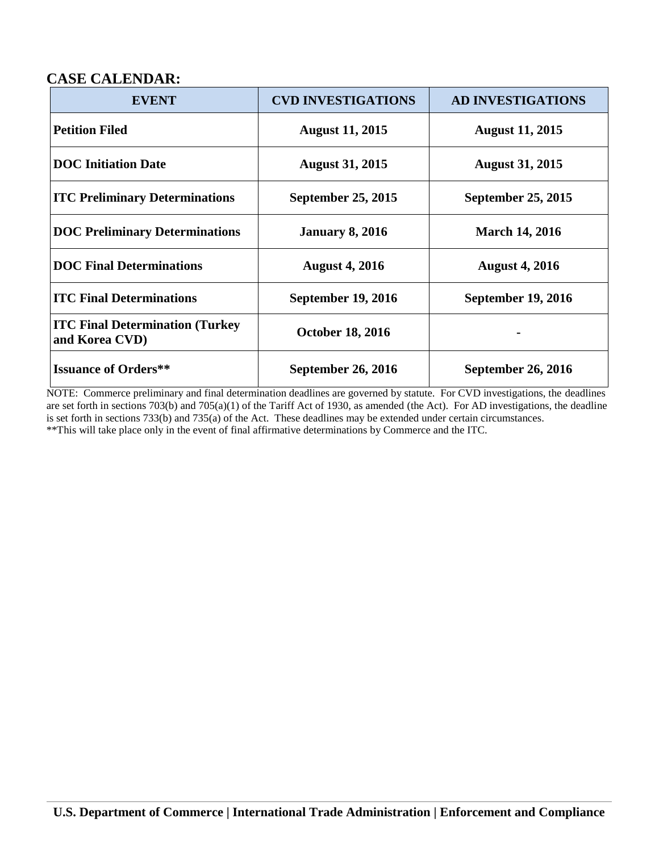### **CASE CALENDAR:**

| <b>EVENT</b>                                              | <b>CVD INVESTIGATIONS</b> | <b>AD INVESTIGATIONS</b>  |
|-----------------------------------------------------------|---------------------------|---------------------------|
| <b>Petition Filed</b>                                     | <b>August 11, 2015</b>    | <b>August 11, 2015</b>    |
| <b>DOC</b> Initiation Date                                | <b>August 31, 2015</b>    | <b>August 31, 2015</b>    |
| <b>ITC Preliminary Determinations</b>                     | September 25, 2015        | September 25, 2015        |
| <b>DOC Preliminary Determinations</b>                     | <b>January 8, 2016</b>    | <b>March 14, 2016</b>     |
| <b>DOC Final Determinations</b>                           | <b>August 4, 2016</b>     | <b>August 4, 2016</b>     |
| <b>ITC Final Determinations</b>                           | <b>September 19, 2016</b> | <b>September 19, 2016</b> |
| <b>ITC Final Determination (Turkey)</b><br>and Korea CVD) | <b>October 18, 2016</b>   |                           |
| <b>Issuance of Orders**</b>                               | September 26, 2016        | <b>September 26, 2016</b> |

NOTE: Commerce preliminary and final determination deadlines are governed by statute. For CVD investigations, the deadlines are set forth in sections 703(b) and 705(a)(1) of the Tariff Act of 1930, as amended (the Act). For AD investigations, the deadline is set forth in sections 733(b) and 735(a) of the Act. These deadlines may be extended under certain circumstances. \*\*This will take place only in the event of final affirmative determinations by Commerce and the ITC.